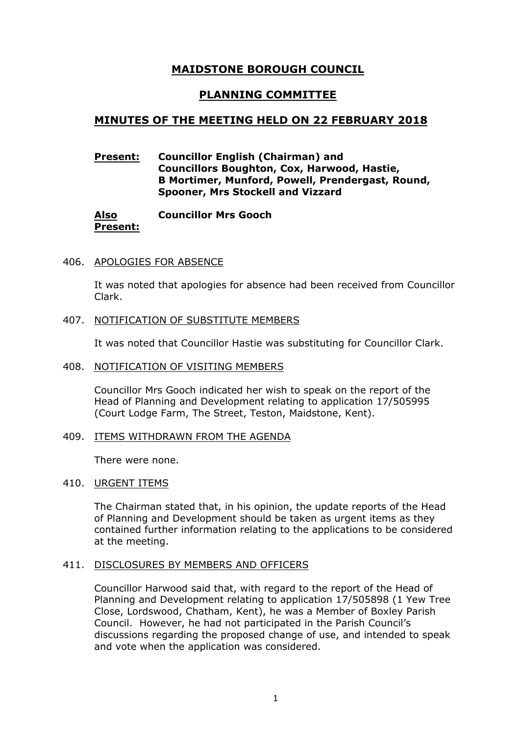# **MAIDSTONE BOROUGH COUNCIL**

# **PLANNING COMMITTEE**

# **MINUTES OF THE MEETING HELD ON 22 FEBRUARY 2018**

# **Present: Councillor English (Chairman) and Councillors Boughton, Cox, Harwood, Hastie, B Mortimer, Munford, Powell, Prendergast, Round, Spooner, Mrs Stockell and Vizzard**

#### **Also Present: Councillor Mrs Gooch**

# 406. APOLOGIES FOR ABSENCE

It was noted that apologies for absence had been received from Councillor Clark.

# 407. NOTIFICATION OF SUBSTITUTE MEMBERS

It was noted that Councillor Hastie was substituting for Councillor Clark.

### 408. NOTIFICATION OF VISITING MEMBERS

Councillor Mrs Gooch indicated her wish to speak on the report of the Head of Planning and Development relating to application 17/505995 (Court Lodge Farm, The Street, Teston, Maidstone, Kent).

#### 409. ITEMS WITHDRAWN FROM THE AGENDA

There were none.

### 410. URGENT ITEMS

The Chairman stated that, in his opinion, the update reports of the Head of Planning and Development should be taken as urgent items as they contained further information relating to the applications to be considered at the meeting.

#### 411. DISCLOSURES BY MEMBERS AND OFFICERS

Councillor Harwood said that, with regard to the report of the Head of Planning and Development relating to application 17/505898 (1 Yew Tree Close, Lordswood, Chatham, Kent), he was a Member of Boxley Parish Council. However, he had not participated in the Parish Council's discussions regarding the proposed change of use, and intended to speak and vote when the application was considered.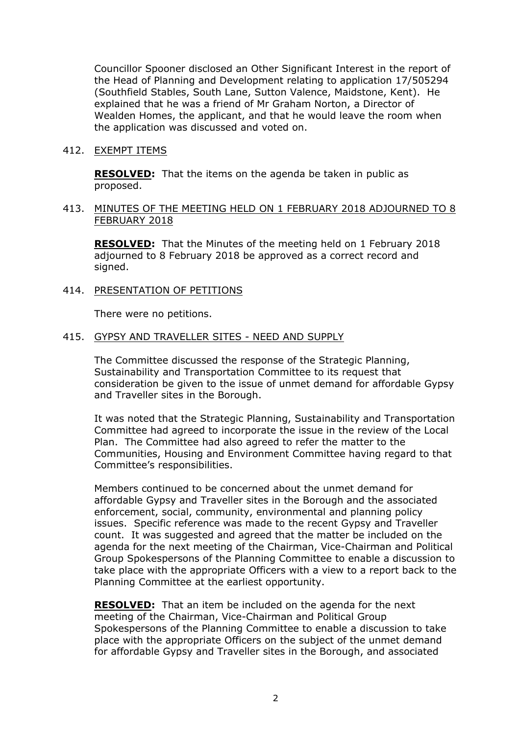Councillor Spooner disclosed an Other Significant Interest in the report of the Head of Planning and Development relating to application 17/505294 (Southfield Stables, South Lane, Sutton Valence, Maidstone, Kent). He explained that he was a friend of Mr Graham Norton, a Director of Wealden Homes, the applicant, and that he would leave the room when the application was discussed and voted on.

## 412. EXEMPT ITEMS

**RESOLVED:** That the items on the agenda be taken in public as proposed.

# 413. MINUTES OF THE MEETING HELD ON 1 FEBRUARY 2018 ADJOURNED TO 8 FEBRUARY 2018

**RESOLVED:** That the Minutes of the meeting held on 1 February 2018 adjourned to 8 February 2018 be approved as a correct record and signed.

### 414. PRESENTATION OF PETITIONS

There were no petitions.

## 415. GYPSY AND TRAVELLER SITES - NEED AND SUPPLY

The Committee discussed the response of the Strategic Planning, Sustainability and Transportation Committee to its request that consideration be given to the issue of unmet demand for affordable Gypsy and Traveller sites in the Borough.

It was noted that the Strategic Planning, Sustainability and Transportation Committee had agreed to incorporate the issue in the review of the Local Plan. The Committee had also agreed to refer the matter to the Communities, Housing and Environment Committee having regard to that Committee's responsibilities.

Members continued to be concerned about the unmet demand for affordable Gypsy and Traveller sites in the Borough and the associated enforcement, social, community, environmental and planning policy issues. Specific reference was made to the recent Gypsy and Traveller count. It was suggested and agreed that the matter be included on the agenda for the next meeting of the Chairman, Vice-Chairman and Political Group Spokespersons of the Planning Committee to enable a discussion to take place with the appropriate Officers with a view to a report back to the Planning Committee at the earliest opportunity.

**RESOLVED:** That an item be included on the agenda for the next meeting of the Chairman, Vice-Chairman and Political Group Spokespersons of the Planning Committee to enable a discussion to take place with the appropriate Officers on the subject of the unmet demand for affordable Gypsy and Traveller sites in the Borough, and associated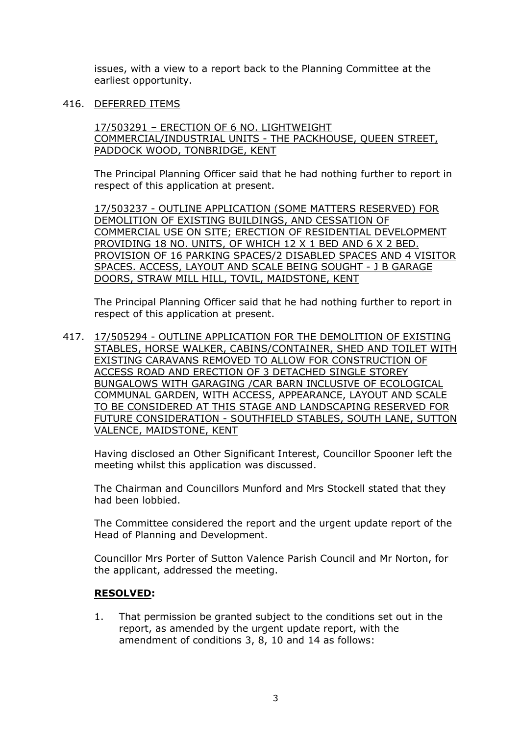issues, with a view to a report back to the Planning Committee at the earliest opportunity.

# 416. DEFERRED ITEMS

17/503291 – ERECTION OF 6 NO. LIGHTWEIGHT COMMERCIAL/INDUSTRIAL UNITS - THE PACKHOUSE, QUEEN STREET, PADDOCK WOOD, TONBRIDGE, KENT

The Principal Planning Officer said that he had nothing further to report in respect of this application at present.

17/503237 - OUTLINE APPLICATION (SOME MATTERS RESERVED) FOR DEMOLITION OF EXISTING BUILDINGS, AND CESSATION OF COMMERCIAL USE ON SITE; ERECTION OF RESIDENTIAL DEVELOPMENT PROVIDING 18 NO. UNITS, OF WHICH 12 X 1 BED AND 6 X 2 BED. PROVISION OF 16 PARKING SPACES/2 DISABLED SPACES AND 4 VISITOR SPACES. ACCESS, LAYOUT AND SCALE BEING SOUGHT - J B GARAGE DOORS, STRAW MILL HILL, TOVIL, MAIDSTONE, KENT

The Principal Planning Officer said that he had nothing further to report in respect of this application at present.

417. 17/505294 - OUTLINE APPLICATION FOR THE DEMOLITION OF EXISTING STABLES, HORSE WALKER, CABINS/CONTAINER, SHED AND TOILET WITH EXISTING CARAVANS REMOVED TO ALLOW FOR CONSTRUCTION OF ACCESS ROAD AND ERECTION OF 3 DETACHED SINGLE STOREY BUNGALOWS WITH GARAGING /CAR BARN INCLUSIVE OF ECOLOGICAL COMMUNAL GARDEN, WITH ACCESS, APPEARANCE, LAYOUT AND SCALE TO BE CONSIDERED AT THIS STAGE AND LANDSCAPING RESERVED FOR FUTURE CONSIDERATION - SOUTHFIELD STABLES, SOUTH LANE, SUTTON VALENCE, MAIDSTONE, KENT

Having disclosed an Other Significant Interest, Councillor Spooner left the meeting whilst this application was discussed.

The Chairman and Councillors Munford and Mrs Stockell stated that they had been lobbied.

The Committee considered the report and the urgent update report of the Head of Planning and Development.

Councillor Mrs Porter of Sutton Valence Parish Council and Mr Norton, for the applicant, addressed the meeting.

# **RESOLVED:**

1. That permission be granted subject to the conditions set out in the report, as amended by the urgent update report, with the amendment of conditions 3, 8, 10 and 14 as follows: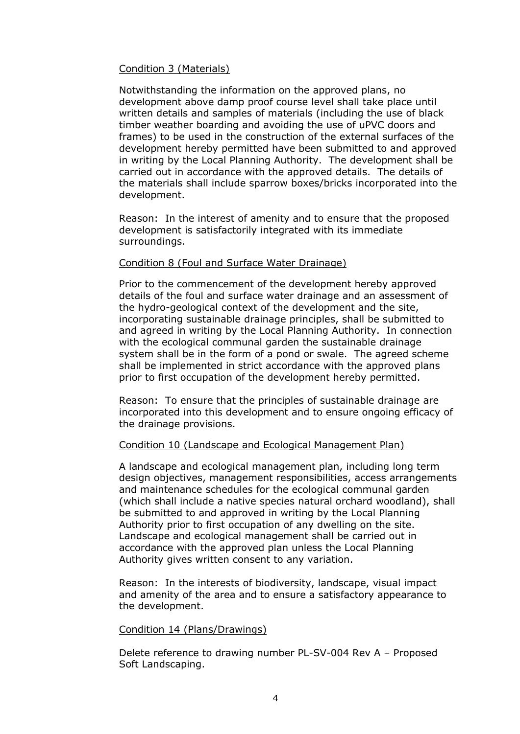# Condition 3 (Materials)

Notwithstanding the information on the approved plans, no development above damp proof course level shall take place until written details and samples of materials (including the use of black timber weather boarding and avoiding the use of uPVC doors and frames) to be used in the construction of the external surfaces of the development hereby permitted have been submitted to and approved in writing by the Local Planning Authority. The development shall be carried out in accordance with the approved details. The details of the materials shall include sparrow boxes/bricks incorporated into the development.

Reason: In the interest of amenity and to ensure that the proposed development is satisfactorily integrated with its immediate surroundings.

# Condition 8 (Foul and Surface Water Drainage)

Prior to the commencement of the development hereby approved details of the foul and surface water drainage and an assessment of the hydro-geological context of the development and the site, incorporating sustainable drainage principles, shall be submitted to and agreed in writing by the Local Planning Authority. In connection with the ecological communal garden the sustainable drainage system shall be in the form of a pond or swale. The agreed scheme shall be implemented in strict accordance with the approved plans prior to first occupation of the development hereby permitted.

Reason: To ensure that the principles of sustainable drainage are incorporated into this development and to ensure ongoing efficacy of the drainage provisions.

# Condition 10 (Landscape and Ecological Management Plan)

A landscape and ecological management plan, including long term design objectives, management responsibilities, access arrangements and maintenance schedules for the ecological communal garden (which shall include a native species natural orchard woodland), shall be submitted to and approved in writing by the Local Planning Authority prior to first occupation of any dwelling on the site. Landscape and ecological management shall be carried out in accordance with the approved plan unless the Local Planning Authority gives written consent to any variation.

Reason: In the interests of biodiversity, landscape, visual impact and amenity of the area and to ensure a satisfactory appearance to the development.

# Condition 14 (Plans/Drawings)

Delete reference to drawing number PL-SV-004 Rev A – Proposed Soft Landscaping.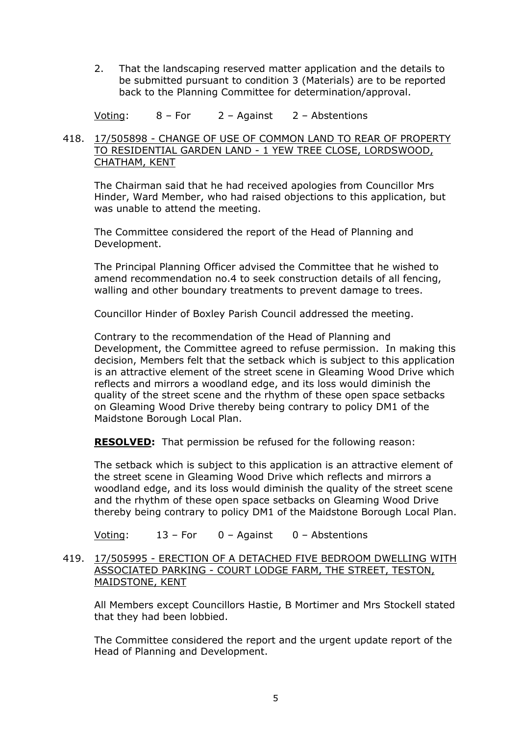2. That the landscaping reserved matter application and the details to be submitted pursuant to condition 3 (Materials) are to be reported back to the Planning Committee for determination/approval.

Voting: 8 – For 2 – Against 2 – Abstentions

# 418. 17/505898 - CHANGE OF USE OF COMMON LAND TO REAR OF PROPERTY TO RESIDENTIAL GARDEN LAND - 1 YEW TREE CLOSE, LORDSWOOD, CHATHAM, KENT

The Chairman said that he had received apologies from Councillor Mrs Hinder, Ward Member, who had raised objections to this application, but was unable to attend the meeting.

The Committee considered the report of the Head of Planning and Development.

The Principal Planning Officer advised the Committee that he wished to amend recommendation no.4 to seek construction details of all fencing, walling and other boundary treatments to prevent damage to trees.

Councillor Hinder of Boxley Parish Council addressed the meeting.

Contrary to the recommendation of the Head of Planning and Development, the Committee agreed to refuse permission. In making this decision, Members felt that the setback which is subject to this application is an attractive element of the street scene in Gleaming Wood Drive which reflects and mirrors a woodland edge, and its loss would diminish the quality of the street scene and the rhythm of these open space setbacks on Gleaming Wood Drive thereby being contrary to policy DM1 of the Maidstone Borough Local Plan.

**RESOLVED:** That permission be refused for the following reason:

The setback which is subject to this application is an attractive element of the street scene in Gleaming Wood Drive which reflects and mirrors a woodland edge, and its loss would diminish the quality of the street scene and the rhythm of these open space setbacks on Gleaming Wood Drive thereby being contrary to policy DM1 of the Maidstone Borough Local Plan.

Voting: 13 – For 0 – Against 0 – Abstentions

419. 17/505995 - ERECTION OF A DETACHED FIVE BEDROOM DWELLING WITH ASSOCIATED PARKING - COURT LODGE FARM, THE STREET, TESTON, MAIDSTONE, KENT

All Members except Councillors Hastie, B Mortimer and Mrs Stockell stated that they had been lobbied.

The Committee considered the report and the urgent update report of the Head of Planning and Development.